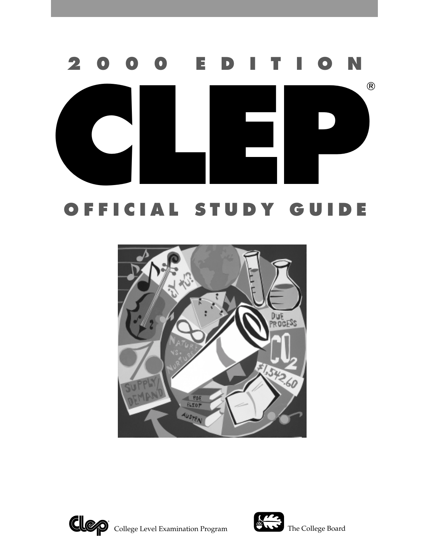# **CLEAR STUDY GUIDE 2 0 0 0 E D I T I O N**

# **OFFICIAL STUDY GUIDE**





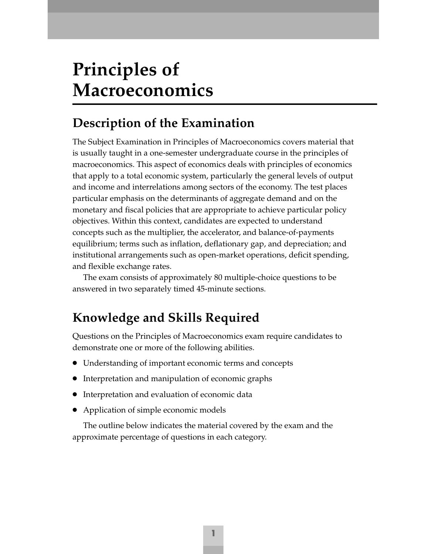# **Principles of Macroeconomics**

### **Description of the Examination**

The Subject Examination in Principles of Macroeconomics covers material that is usually taught in a one-semester undergraduate course in the principles of macroeconomics. This aspect of economics deals with principles of economics that apply to a total economic system, particularly the general levels of output and income and interrelations among sectors of the economy. The test places particular emphasis on the determinants of aggregate demand and on the monetary and fiscal policies that are appropriate to achieve particular policy objectives. Within this context, candidates are expected to understand concepts such as the multiplier, the accelerator, and balance-of-payments equilibrium; terms such as inflation, deflationary gap, and depreciation; and institutional arrangements such as open-market operations, deficit spending, and flexible exchange rates.

The exam consists of approximately 80 multiple-choice questions to be answered in two separately timed 45-minute sections.

### **Knowledge and Skills Required**

Questions on the Principles of Macroeconomics exam require candidates to demonstrate one or more of the following abilities.

- Understanding of important economic terms and concepts
- Interpretation and manipulation of economic graphs
- Interpretation and evaluation of economic data
- Application of simple economic models

The outline below indicates the material covered by the exam and the approximate percentage of questions in each category.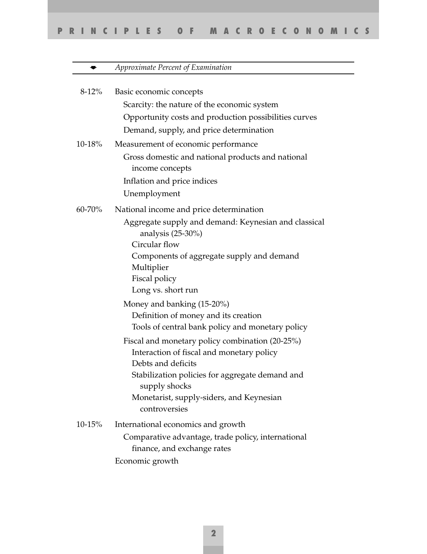|         | Approximate Percent of Examination                                                            |
|---------|-----------------------------------------------------------------------------------------------|
|         |                                                                                               |
| $8-12%$ | Basic economic concepts                                                                       |
|         | Scarcity: the nature of the economic system                                                   |
|         | Opportunity costs and production possibilities curves                                         |
|         | Demand, supply, and price determination                                                       |
| 10-18%  | Measurement of economic performance                                                           |
|         | Gross domestic and national products and national<br>income concepts                          |
|         | Inflation and price indices                                                                   |
|         | Unemployment                                                                                  |
| 60-70%  | National income and price determination                                                       |
|         | Aggregate supply and demand: Keynesian and classical<br>analysis $(25-30\%)$<br>Circular flow |
|         | Components of aggregate supply and demand                                                     |
|         | Multiplier                                                                                    |
|         | Fiscal policy                                                                                 |
|         | Long vs. short run                                                                            |
|         | Money and banking $(15-20\%)$                                                                 |
|         | Definition of money and its creation                                                          |
|         | Tools of central bank policy and monetary policy                                              |
|         | Fiscal and monetary policy combination (20-25%)                                               |
|         | Interaction of fiscal and monetary policy                                                     |
|         | Debts and deficits                                                                            |
|         | Stabilization policies for aggregate demand and<br>supply shocks                              |
|         | Monetarist, supply-siders, and Keynesian<br>controversies                                     |
| 10-15%  | International economics and growth                                                            |
|         | Comparative advantage, trade policy, international<br>finance, and exchange rates             |
|         | Economic growth                                                                               |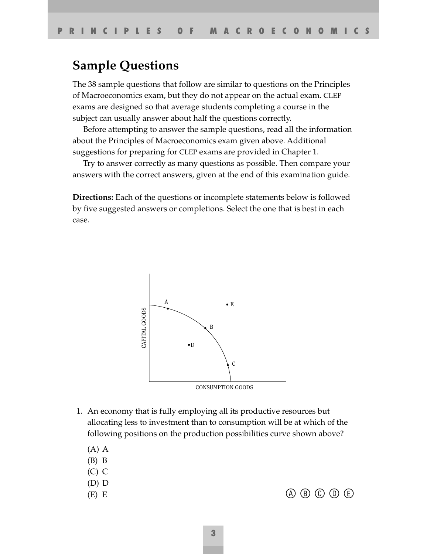#### **Sample Questions**

The 38 sample questions that follow are similar to questions on the Principles of Macroeconomics exam, but they do not appear on the actual exam. CLEP exams are designed so that average students completing a course in the subject can usually answer about half the questions correctly.

Before attempting to answer the sample questions, read all the information about the Principles of Macroeconomics exam given above. Additional suggestions for preparing for CLEP exams are provided in Chapter 1.

Try to answer correctly as many questions as possible. Then compare your answers with the correct answers, given at the end of this examination guide.

**Directions:** Each of the questions or incomplete statements below is followed by five suggested answers or completions. Select the one that is best in each case.



- 1. An economy that is fully employing all its productive resources but allocating less to investment than to consumption will be at which of the following positions on the production possibilities curve shown above?
	- (A) A
	- (B) B
	- (C) C
	- (D) D
	-
	- (E) E  $\qquad \qquad \textcircled{A} \textcircled{B} \textcircled{C} \textcircled{D} \textcircled{E}$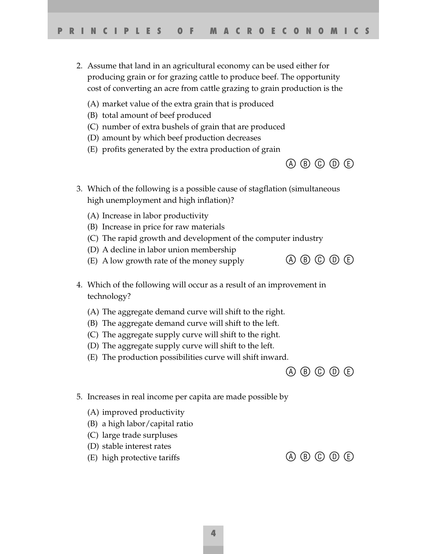- 2. Assume that land in an agricultural economy can be used either for producing grain or for grazing cattle to produce beef. The opportunity cost of converting an acre from cattle grazing to grain production is the
	- (A) market value of the extra grain that is produced
	- (B) total amount of beef produced
	- (C) number of extra bushels of grain that are produced
	- (D) amount by which beef production decreases
	- (E) profits generated by the extra production of grain



- 3. Which of the following is a possible cause of stagflation (simultaneous high unemployment and high inflation)?
	- (A) Increase in labor productivity
	- (B) Increase in price for raw materials
	- (C) The rapid growth and development of the computer industry
	- (D) A decline in labor union membership
	- (E) A low growth rate of the money supply  $\bigcirc$   $\bigcirc$   $\bigcirc$   $\bigcirc$   $\bigcirc$   $\bigcirc$   $\bigcirc$   $\bigcirc$
- 4. Which of the following will occur as a result of an improvement in technology?
	- (A) The aggregate demand curve will shift to the right.
	- (B) The aggregate demand curve will shift to the left.
	- (C) The aggregate supply curve will shift to the right.
	- (D) The aggregate supply curve will shift to the left.
	- (E) The production possibilities curve will shift inward.

 $\circledA \circledB \circledD \circledB$ 

- 5. Increases in real income per capita are made possible by
	- (A) improved productivity
	- (B) a high labor/capital ratio
	- (C) large trade surpluses
	- (D) stable interest rates
	- (E) high protective tariffs  $\qquad \qquad \textcircled{A} \textcircled{B} \textcircled{C} \textcircled{D} \textcircled{E}$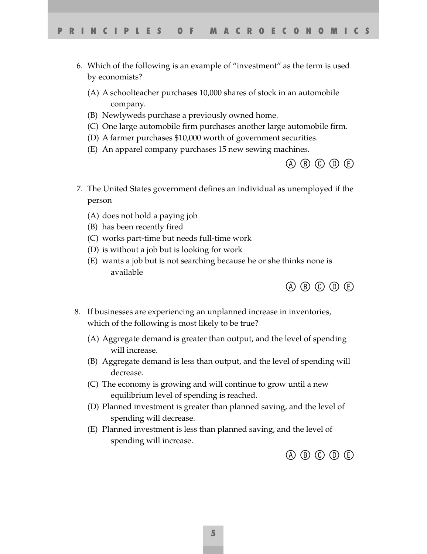- 6. Which of the following is an example of "investment" as the term is used by economists?
	- (A) A schoolteacher purchases 10,000 shares of stock in an automobile company.
	- (B) Newlyweds purchase a previously owned home.
	- (C) One large automobile firm purchases another large automobile firm.
	- (D) A farmer purchases \$10,000 worth of government securities.
	- (E) An apparel company purchases 15 new sewing machines.



- 7. The United States government defines an individual as unemployed if the person
	- (A) does not hold a paying job
	- (B) has been recently fired
	- (C) works part-time but needs full-time work
	- (D) is without a job but is looking for work
	- (E) wants a job but is not searching because he or she thinks none is available



- 8. If businesses are experiencing an unplanned increase in inventories, which of the following is most likely to be true?
	- (A) Aggregate demand is greater than output, and the level of spending will increase.
	- (B) Aggregate demand is less than output, and the level of spending will decrease.
	- (C) The economy is growing and will continue to grow until a new equilibrium level of spending is reached.
	- (D) Planned investment is greater than planned saving, and the level of spending will decrease.
	- (E) Planned investment is less than planned saving, and the level of spending will increase.

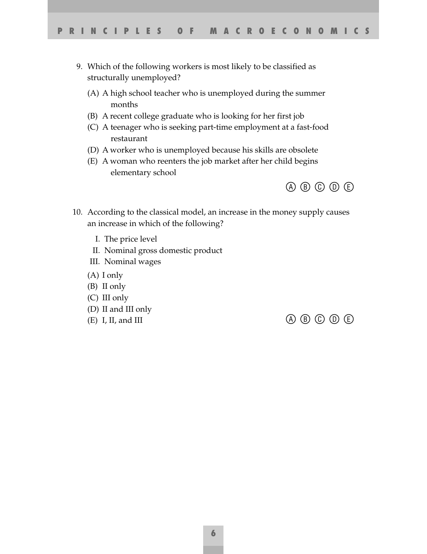- 9. Which of the following workers is most likely to be classified as structurally unemployed?
	- (A) A high school teacher who is unemployed during the summer months
	- (B) A recent college graduate who is looking for her first job
	- (C) A teenager who is seeking part-time employment at a fast-food restaurant
	- (D) A worker who is unemployed because his skills are obsolete
	- (E) A woman who reenters the job market after her child begins elementary school



- 10. According to the classical model, an increase in the money supply causes an increase in which of the following?
	- I. The price level
	- II. Nominal gross domestic product
	- III. Nominal wages
	- (A) I only
	- (B) II only
	- (C) III only
	- (D) II and III only
	-

(E) I, II, and III  $\qquad \qquad \qquad \textcircled{1} \qquad \qquad \textcircled{2} \qquad \textcircled{3} \qquad \textcircled{4} \qquad \textcircled{4}$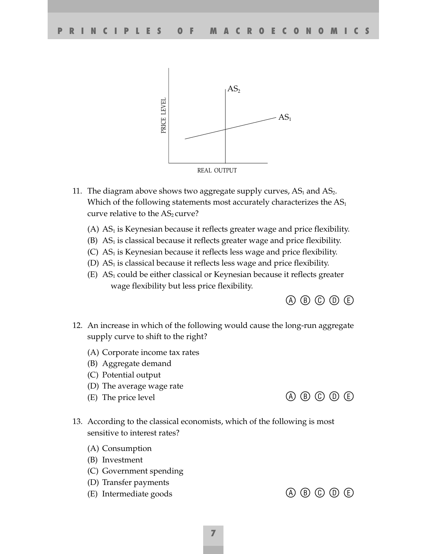

- 11. The diagram above shows two aggregate supply curves,  $AS_1$  and  $AS_2$ . Which of the following statements most accurately characterizes the  $AS<sub>1</sub>$ curve relative to the  $AS<sub>2</sub>$  curve?
	- (A)  $AS<sub>1</sub>$  is Keynesian because it reflects greater wage and price flexibility.
	- $(B)$  AS<sub>1</sub> is classical because it reflects greater wage and price flexibility.
	- $(C)$  AS<sub>1</sub> is Keynesian because it reflects less wage and price flexibility.
	- (D)  $AS<sub>1</sub>$  is classical because it reflects less wage and price flexibility.
	- $(E)$  AS<sub>1</sub> could be either classical or Keynesian because it reflects greater wage flexibility but less price flexibility.

 $\circledA \circledB \circledD \circledB$ 

- 12. An increase in which of the following would cause the long-run aggregate supply curve to shift to the right?
	- (A) Corporate income tax rates
	- (B) Aggregate demand
	- (C) Potential output
	- (D) The average wage rate
	- (E) The price level  $\qquad \qquad \textcircled{A} \textcircled{B} \textcircled{C} \textcircled{D} \textcircled{E}$

13. According to the classical economists, which of the following is most sensitive to interest rates?

- (A) Consumption
- (B) Investment
- (C) Government spending
- (D) Transfer payments
- (E) Intermediate goods  $\qquad \qquad \textcircled{A} \textcircled{B} \textcircled{C} \textcircled{D} \textcircled{E}$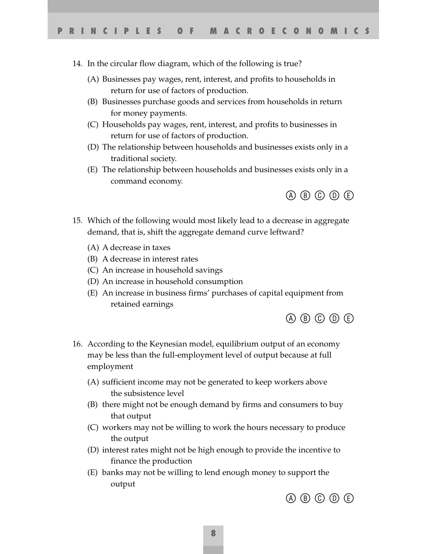14. In the circular flow diagram, which of the following is true?

- (A) Businesses pay wages, rent, interest, and profits to households in return for use of factors of production.
- (B) Businesses purchase goods and services from households in return for money payments.
- (C) Households pay wages, rent, interest, and profits to businesses in return for use of factors of production.
- (D) The relationship between households and businesses exists only in a traditional society.
- (E) The relationship between households and businesses exists only in a command economy.



- 15. Which of the following would most likely lead to a decrease in aggregate demand, that is, shift the aggregate demand curve leftward?
	- (A) A decrease in taxes
	- (B) A decrease in interest rates
	- (C) An increase in household savings
	- (D) An increase in household consumption
	- (E) An increase in business firms' purchases of capital equipment from retained earnings



- 16. According to the Keynesian model, equilibrium output of an economy may be less than the full-employment level of output because at full employment
	- (A) sufficient income may not be generated to keep workers above the subsistence level
	- (B) there might not be enough demand by firms and consumers to buy that output
	- (C) workers may not be willing to work the hours necessary to produce the output
	- (D) interest rates might not be high enough to provide the incentive to finance the production
	- (E) banks may not be willing to lend enough money to support the output

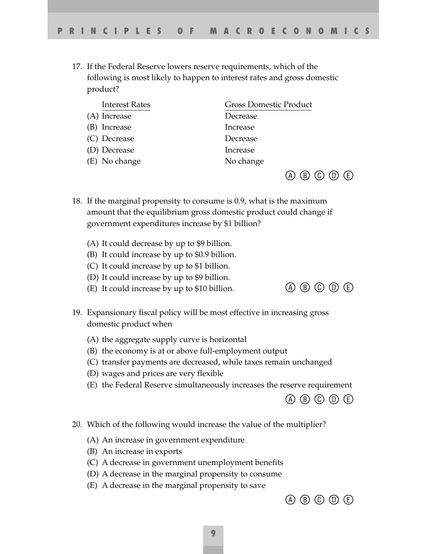17. If the Federal Reserve lowers reserve requirements, which of the following is most likely to happen to interest rates and gross domestic product?

| <b>Interest Rates</b> | <b>Gross Domestic Product</b> |  |  |
|-----------------------|-------------------------------|--|--|
| (A) Increase          | Decrease                      |  |  |
| (B) Increase          | Increase                      |  |  |
| (C) Decrease          | Decrease                      |  |  |
| (D) Decrease          | Increase                      |  |  |
| (E) No change         | No change                     |  |  |
|                       | 〔E〕                           |  |  |

- 18. If the marginal propensity to consume is 0.9, what is the maximum amount that the equilibrium gross domestic product could change if government expenditures increase by \$1 billion?
	- (A) It could decrease by up to \$9 billion.
	- (B) It could increase by up to \$0.9 billion.
	- (C) It could increase by up to \$1 billion.
	- (D) It could increase by up to \$9 billion.
	- (E) It could increase by up to \$10 billion.  $\qquad \qquad \textcircled{4} \textcircled{5} \textcircled{6} \textcircled{7} \textcircled{6}$
- 19. Expansionary fiscal policy will be most effective in increasing gross domestic product when
	- (A) the aggregate supply curve is horizontal
	- (B) the economy is at or above full-employment output
	- (C) transfer payments are decreased, while taxes remain unchanged
	- (D) wages and prices are very flexible
	- (E) the Federal Reserve simultaneously increases the reserve requirement



- 20. Which of the following would increase the value of the multiplier?
	- (A) An increase in government expenditure
	- (B) An increase in exports
	- (C) A decrease in government unemployment benefits
	- (D) A decrease in the marginal propensity to consume
	- (E) A decrease in the marginal propensity to save

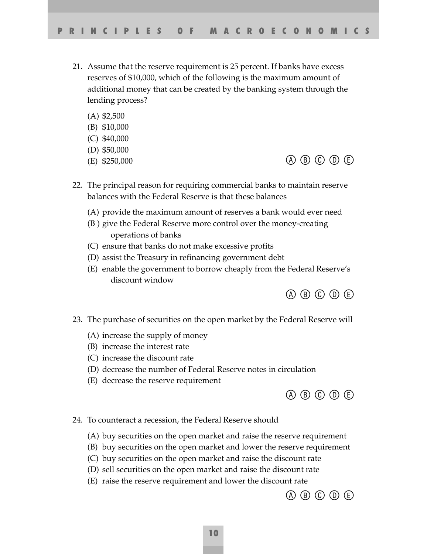- 21. Assume that the reserve requirement is 25 percent. If banks have excess reserves of \$10,000, which of the following is the maximum amount of additional money that can be created by the banking system through the lending process?
	- (A) \$2,500
	- (B) \$10,000
	- (C) \$40,000
	- (D) \$50,000
	-
	- (E) \$250,000  $\qquad \qquad \textcircled{A} \textcircled{B} \textcircled{C} \textcircled{D} \textcircled{E}$
- 22. The principal reason for requiring commercial banks to maintain reserve balances with the Federal Reserve is that these balances
	- (A) provide the maximum amount of reserves a bank would ever need
	- (B ) give the Federal Reserve more control over the money-creating operations of banks
	- (C) ensure that banks do not make excessive profits
	- (D) assist the Treasury in refinancing government debt
	- (E) enable the government to borrow cheaply from the Federal Reserve's discount window



- 23. The purchase of securities on the open market by the Federal Reserve will
	- (A) increase the supply of money
	- (B) increase the interest rate
	- (C) increase the discount rate
	- (D) decrease the number of Federal Reserve notes in circulation
	- (E) decrease the reserve requirement



- 24. To counteract a recession, the Federal Reserve should
	- (A) buy securities on the open market and raise the reserve requirement
	- (B) buy securities on the open market and lower the reserve requirement
	- (C) buy securities on the open market and raise the discount rate
	- (D) sell securities on the open market and raise the discount rate
	- (E) raise the reserve requirement and lower the discount rate

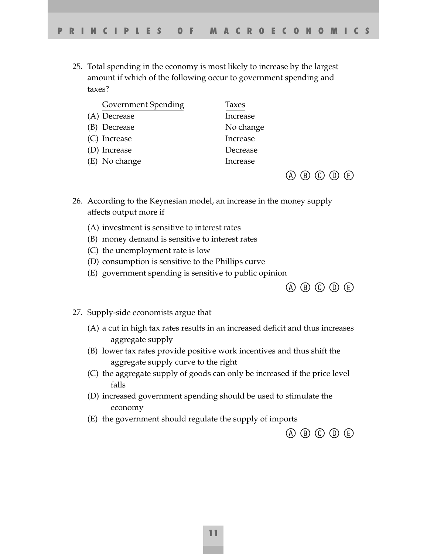25. Total spending in the economy is most likely to increase by the largest amount if which of the following occur to government spending and taxes?

| <b>Government Spending</b> | Taxes     |
|----------------------------|-----------|
| (A) Decrease               | Increase  |
| (B) Decrease               | No change |
| (C) Increase               | Increase  |
| (D) Increase               | Decrease  |
| (E) No change              | Increase  |
|                            |           |

- 26. According to the Keynesian model, an increase in the money supply affects output more if
	- (A) investment is sensitive to interest rates
	- (B) money demand is sensitive to interest rates
	- (C) the unemployment rate is low
	- (D) consumption is sensitive to the Phillips curve
	- (E) government spending is sensitive to public opinion



 $\circledA \circledB \circledD \circledB$ 

- 27. Supply-side economists argue that
	- (A) a cut in high tax rates results in an increased deficit and thus increases aggregate supply
	- (B) lower tax rates provide positive work incentives and thus shift the aggregate supply curve to the right
	- (C) the aggregate supply of goods can only be increased if the price level falls
	- (D) increased government spending should be used to stimulate the economy
	- (E) the government should regulate the supply of imports

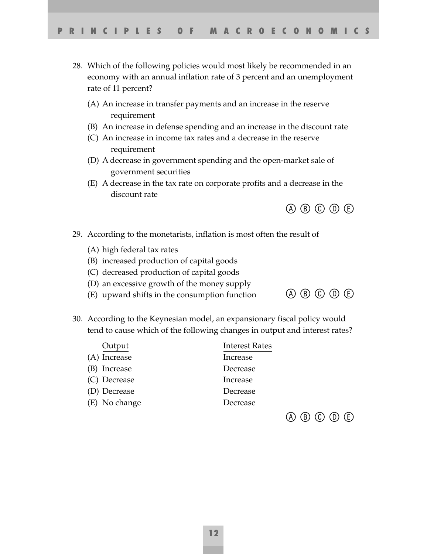- 28. Which of the following policies would most likely be recommended in an economy with an annual inflation rate of 3 percent and an unemployment rate of 11 percent?
	- (A) An increase in transfer payments and an increase in the reserve requirement
	- (B) An increase in defense spending and an increase in the discount rate
	- (C) An increase in income tax rates and a decrease in the reserve requirement
	- (D) A decrease in government spending and the open-market sale of government securities
	- (E) A decrease in the tax rate on corporate profits and a decrease in the discount rate



- 29. According to the monetarists, inflation is most often the result of
	- (A) high federal tax rates
	- (B) increased production of capital goods
	- (C) decreased production of capital goods
	- (D) an excessive growth of the money supply
	- (E) upward shifts in the consumption function  $\bigoplus$   $\bigoplus$   $\bigoplus$   $\bigoplus$   $\bigoplus$   $\bigoplus$



30. According to the Keynesian model, an expansionary fiscal policy would tend to cause which of the following changes in output and interest rates?

| Output        | <b>Interest Rates</b> |
|---------------|-----------------------|
| (A) Increase  | Increase              |
| (B) Increase  | Decrease              |
| (C) Decrease  | Increase              |
| (D) Decrease  | Decrease              |
| (E) No change | Decrease              |
|               |                       |

 $\circledA \circledB \circledD \circledB$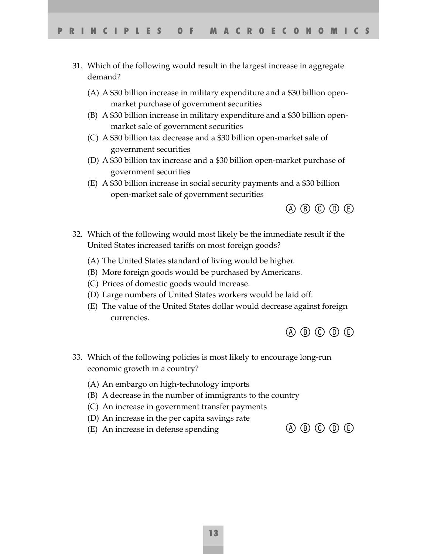- 31. Which of the following would result in the largest increase in aggregate demand?
	- (A) A \$30 billion increase in military expenditure and a \$30 billion openmarket purchase of government securities
	- (B) A \$30 billion increase in military expenditure and a \$30 billion openmarket sale of government securities
	- (C) A \$30 billion tax decrease and a \$30 billion open-market sale of government securities
	- (D) A \$30 billion tax increase and a \$30 billion open-market purchase of government securities
	- (E) A \$30 billion increase in social security payments and a \$30 billion open-market sale of government securities



- 32. Which of the following would most likely be the immediate result if the United States increased tariffs on most foreign goods?
	- (A) The United States standard of living would be higher.
	- (B) More foreign goods would be purchased by Americans.
	- (C) Prices of domestic goods would increase.
	- (D) Large numbers of United States workers would be laid off.
	- (E) The value of the United States dollar would decrease against foreign currencies.



- 33. Which of the following policies is most likely to encourage long-run economic growth in a country?
	- (A) An embargo on high-technology imports
	- (B) A decrease in the number of immigrants to the country
	- (C) An increase in government transfer payments
	- (D) An increase in the per capita savings rate
	- (E) An increase in defense spending  $\qquad \qquad \textcircled{A} \textcircled{B} \textcircled{C} \textcircled{D} \textcircled{E}$ 
		-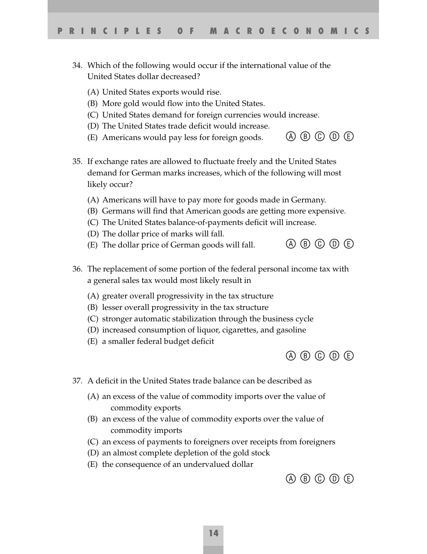- 34. Which of the following would occur if the international value of the United States dollar decreased?
	- (A) United States exports would rise.
	- (B) More gold would flow into the United States.
	- (C) United States demand for foreign currencies would increase.
	- (D) The United States trade deficit would increase.
	- (E) Americans would pay less for foreign goods.  $(A \cup B \cup C)$  (E)
- 35. If exchange rates are allowed to fluctuate freely and the United States demand for German marks increases, which of the following will most likely occur?
	- (A) Americans will have to pay more for goods made in Germany.
	- (B) Germans will find that American goods are getting more expensive.
	- (C) The United States balance-of-payments deficit will increase.
	- (D) The dollar price of marks will fall.
	- (E) The dollar price of German goods will fall.  $\qquad \qquad \textcircled{4} \textcircled{5} \textcircled{6} \textcircled{6} \textcircled{7}$
- 36. The replacement of some portion of the federal personal income tax with a general sales tax would most likely result in
	- (A) greater overall progressivity in the tax structure
	- (B) lesser overall progressivity in the tax structure
	- (C) stronger automatic stabilization through the business cycle
	- (D) increased consumption of liquor, cigarettes, and gasoline
	- (E) a smaller federal budget deficit



- 37. A deficit in the United States trade balance can be described as
	- (A) an excess of the value of commodity imports over the value of commodity exports
	- (B) an excess of the value of commodity exports over the value of commodity imports
	- (C) an excess of payments to foreigners over receipts from foreigners
	- (D) an almost complete depletion of the gold stock
	- (E) the consequence of an undervalued dollar

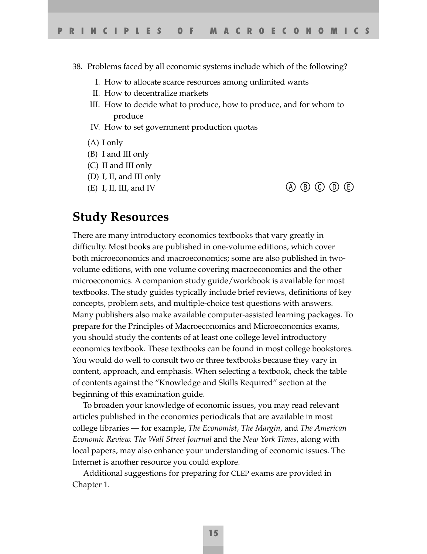- 38. Problems faced by all economic systems include which of the following?
	- I. How to allocate scarce resources among unlimited wants
	- II. How to decentralize markets
	- III. How to decide what to produce, how to produce, and for whom to produce
	- IV. How to set government production quotas
	- (A) I only
	- (B) I and III only
	- (C) II and III only
	- (D) I, II, and III only
	- (E) I, II, III, and IV  $\qquad \qquad \textcircled{b} \textcircled{b} \textcircled{c} \textcircled{b} \textcircled{d}$

#### **Study Resources**

There are many introductory economics textbooks that vary greatly in difficulty. Most books are published in one-volume editions, which cover both microeconomics and macroeconomics; some are also published in twovolume editions, with one volume covering macroeconomics and the other microeconomics. A companion study guide/workbook is available for most textbooks. The study guides typically include brief reviews, definitions of key concepts, problem sets, and multiple-choice test questions with answers. Many publishers also make available computer-assisted learning packages. To prepare for the Principles of Macroeconomics and Microeconomics exams, you should study the contents of at least one college level introductory economics textbook. These textbooks can be found in most college bookstores. You would do well to consult two or three textbooks because they vary in content, approach, and emphasis. When selecting a textbook, check the table of contents against the "Knowledge and Skills Required" section at the beginning of this examination guide.

To broaden your knowledge of economic issues, you may read relevant articles published in the economics periodicals that are available in most college libraries — for example, *The Economist, The Margin,* and *The American Economic Review. The Wall Street Journal* and the *New York Times*, along with local papers, may also enhance your understanding of economic issues. The Internet is another resource you could explore.

Additional suggestions for preparing for CLEP exams are provided in Chapter 1.